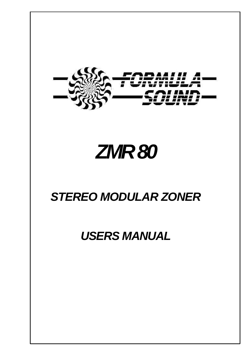

# *ZMR 80*

# *STEREO MODULAR ZONER*

# *USERS MANUAL*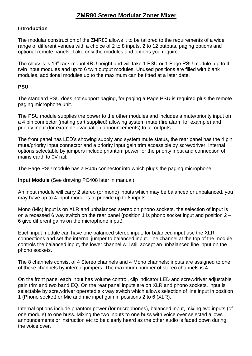### **ZMR80 Stereo Modular Zoner Mixer**

#### **Introduction**

The modular construction of the ZMR80 allows it to be tailored to the requirements of a wide range of different venues with a choice of 2 to 8 inputs, 2 to 12 outputs, paging options and optional remote panels. Take only the modules and options you require.

The chassis is 19" rack mount 4RU height and will take 1 PSU or 1 Page PSU module, up to 4 twin input modules and up to 6 twin output modules. Unused positions are filled with blank modules, additional modules up to the maximum can be fitted at a later date.

#### **PSU**

The standard PSU does not support paging, for paging a Page PSU is required plus the remote paging microphone unit.

The PSU module supplies the power to the other modules and includes a mute/priority input on a 4 pin connector (mating part supplied) allowing system mute (fire alarm for example) and priority input (for example evacuation announcements) to all outputs.

The front panel has LED's showing supply and system mute status, the rear panel has the 4 pin mute/priority input connector and a priority input gain trim accessible by screwdriver. Internal options selectable by jumpers include phantom power for the priority input and connection of mains earth to 0V rail.

The Page PSU module has a RJ45 connector into which plugs the paging microphone.

**Input Module** (See drawing PC408 later in manual)

An input module will carry 2 stereo (or mono) inputs which may be balanced or unbalanced, you may have up to 4 input modules to provide up to 8 inputs.

Mono (Mic) input is on XLR and unbalanced stereo on phono sockets, the selection of input is on a recessed 6 way switch on the rear panel (position 1 is phono socket input and position 2 – 6 give different gains on the microphone input).

Each input module can have one balanced stereo input, for balanced input use the XLR connections and set the internal jumper to balanced input. The channel at the top of the module controls the balanced input, the lower channel will still accept an unbalanced line input on the phono sockets.

The 8 channels consist of 4 Stereo channels and 4 Mono channels; inputs are assigned to one of these channels by internal jumpers. The maximum number of stereo channels is 4.

On the front panel each input has volume control, clip indicator LED and screwdriver adjustable gain trim and two band EQ. On the rear panel inputs are on XLR and phono sockets, input is selectable by screwdriver operated six way switch which allows selection of line input in position 1 (Phono socket) or Mic and mic input gain in positions 2 to 6 (XLR).

Internal options include phantom power (for microphones), balanced input, mixing two inputs (of one module) to one buss. Mixing the two inputs to one buss with voice over selected allows announcements or instruction etc to be clearly heard as the other audio is faded down during the voice over.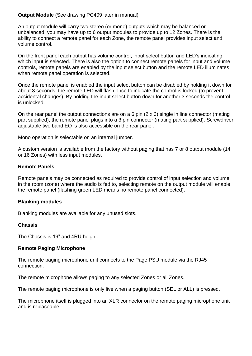#### **Output Module** (See drawing PC409 later in manual)

An output module will carry two stereo (or mono) outputs which may be balanced or unbalanced, you may have up to 6 output modules to provide up to 12 Zones. There is the ability to connect a remote panel for each Zone, the remote panel provides input select and volume control.

On the front panel each output has volume control, input select button and LED's indicating which input is selected. There is also the option to connect remote panels for input and volume controls, remote panels are enabled by the input select button and the remote LED illuminates when remote panel operation is selected.

Once the remote panel is enabled the input select button can be disabled by holding it down for about 3 seconds, the remote LED will flash once to indicate the control is locked (to prevent accidental changes). By holding the input select button down for another 3 seconds the control is unlocked.

On the rear panel the output connections are on a 6 pin (2 x 3) single in line connector (mating part supplied), the remote panel plugs into a 3 pin connector (mating part supplied). Screwdriver adjustable two band EQ is also accessible on the rear panel.

Mono operation is selectable on an internal jumper.

A custom version is available from the factory without paging that has 7 or 8 output module (14 or 16 Zones) with less input modules.

#### **Remote Panels**

Remote panels may be connected as required to provide control of input selection and volume in the room (zone) where the audio is fed to, selecting remote on the output module will enable the remote panel (flashing green LED means no remote panel connected).

#### **Blanking modules**

Blanking modules are available for any unused slots.

#### **Chassis**

The Chassis is 19" and 4RU height.

#### **Remote Paging Microphone**

The remote paging microphone unit connects to the Page PSU module via the RJ45 connection.

The remote microphone allows paging to any selected Zones or all Zones.

The remote paging microphone is only live when a paging button (SEL or ALL) is pressed.

The microphone itself is plugged into an XLR connector on the remote paging microphone unit and is replaceable.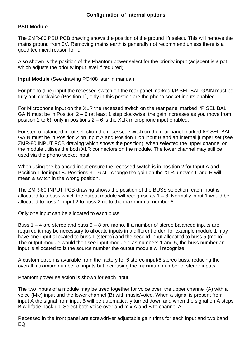#### **PSU Module**

The ZMR-80 PSU PCB drawing shows the position of the ground lift select. This will remove the mains ground from 0V. Removing mains earth is generally not recommend unless there is a good technical reason for it.

Also shown is the position of the Phantom power select for the priority input (adjacent is a pot which adjusts the priority input level if required).

**Input Module** (See drawing PC408 later in manual)

For phono (line) input the recessed switch on the rear panel marked I/P SEL BAL GAIN must be fully anti clockwise (Position 1), only in this postion are the phono socket inputs enabled.

For Microphone input on the XLR the recessed switch on the rear panel marked I/P SEL BAL GAIN must be in Position  $2 - 6$  (at least 1 step clockwise, the gain increases as you move from position 2 to 6), only in positions  $2 - 6$  is the XLR microphone input enabled.

For stereo balanced input selection the recessed switch on the rear panel marked I/P SEL BAL GAIN must be in Position 2 on Input A and Position 1 on input B and an internal jumper set (see ZMR-80 INPUT PCB drawing which shows the position), when selected the upper channel on the module utilises the both XLR connectors on the module. The lower channel may still be used via the phono socket input.

When using the balanced input ensure the recessed switch is in position 2 for Input A and Position 1 for input B. Positions 3 – 6 still change the gain on the XLR, uneven L and R will mean a switch in the wrong position.

The ZMR-80 INPUT PCB drawing shows the position of the BUSS selection, each input is allocated to a buss which the output module will recognise as  $1 - 8$ . Normally input 1 would be allocated to buss 1, input 2 to buss 2 up to the maximum of number 8.

Only one input can be allocated to each buss.

Buss 1 – 4 are stereo and buss 5 – 8 are mono. If a number of stereo balanced inputs are required it may be necessary to allocate inputs in a different order, for example module 1 may have one input allocated to buss 1 (stereo) and the second input allocated to buss 5 (mono). The output module would then see input module 1 as numbers 1 and 5, the buss number an input is allocated to is the source number the output module will recognise.

A custom option is available from the factory for 6 stereo input/6 stereo buss, reducing the overall maximum number of inputs but increasing the maximum number of stereo inputs.

Phantom power selection is shown for each input.

The two inputs of a module may be used together for voice over, the upper channel (A) with a voice (Mic) input and the lower channel (B) with music/voice. When a signal is present from input A the signal from input B will be automatically turned down and when the signal on A stops B will fade back up. Select both voice over and mix A and B to channel A.

Recessed in the front panel are screwdriver adjustable gain trims for each input and two band EQ.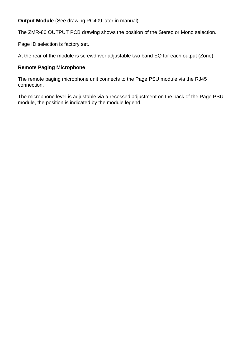**Output Module** (See drawing PC409 later in manual)

The ZMR-80 OUTPUT PCB drawing shows the position of the Stereo or Mono selection.

Page ID selection is factory set.

At the rear of the module is screwdriver adjustable two band EQ for each output (Zone).

#### **Remote Paging Microphone**

The remote paging microphone unit connects to the Page PSU module via the RJ45 connection.

The microphone level is adjustable via a recessed adjustment on the back of the Page PSU module, the position is indicated by the module legend.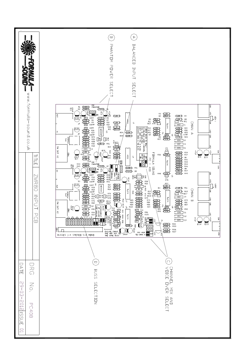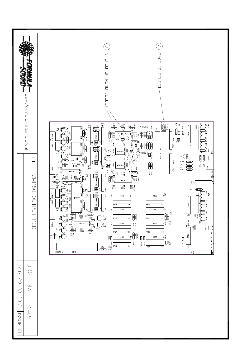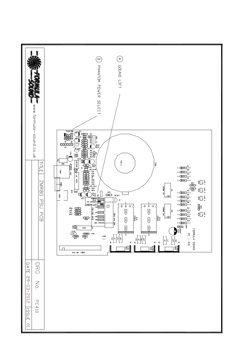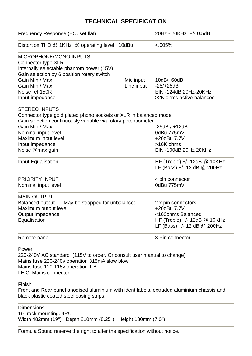### **TECHNICAL SPECIFICATION**

| Frequency Response (EQ. set flat)                                                                                                                                                               |            | 20Hz - 20KHz +/- 0.5dB                                                                                                    |
|-------------------------------------------------------------------------------------------------------------------------------------------------------------------------------------------------|------------|---------------------------------------------------------------------------------------------------------------------------|
| Distortion THD @ 1KHz @ operating level +10dBu                                                                                                                                                  |            | $&lt.005\%$                                                                                                               |
| <b>MICROPHONE/MONO INPUTS</b><br>Connector type XLR<br>Internally selectable phantom power (15V)<br>Gain selection by 6 position rotary switch                                                  |            |                                                                                                                           |
| Gain Min / Max                                                                                                                                                                                  | Mic input  | 10dB/+60dB                                                                                                                |
| Gain Min / Max                                                                                                                                                                                  | Line input | $-25/+25dB$                                                                                                               |
| Noise ref 150R                                                                                                                                                                                  |            | EIN -124dB 20Hz-20KHz                                                                                                     |
| Input impedance                                                                                                                                                                                 |            | >2K ohms active balanced                                                                                                  |
| <b>STEREO INPUTS</b>                                                                                                                                                                            |            |                                                                                                                           |
| Connector type gold plated phono sockets or XLR in balanced mode                                                                                                                                |            |                                                                                                                           |
| Gain selection continuously variable via rotary potentiometer                                                                                                                                   |            |                                                                                                                           |
| Gain Min / Max                                                                                                                                                                                  |            | $-25dB / +12dB$                                                                                                           |
| Nominal input level                                                                                                                                                                             |            | 0dBu 775mV                                                                                                                |
| Maximum input level                                                                                                                                                                             |            | +20dBu 7.7V                                                                                                               |
| Input impedance                                                                                                                                                                                 |            | >10K ohms                                                                                                                 |
| Noise @max gain                                                                                                                                                                                 |            | EIN -100dB 20Hz 20KHz                                                                                                     |
| Input Equalisation                                                                                                                                                                              |            | HF (Treble) $+/- 12dB \t@ 10KHz$<br>LF (Bass) +/- 12 dB @ 200Hz                                                           |
| <b>PRIORITY INPUT</b>                                                                                                                                                                           |            | 4 pin connector                                                                                                           |
| Nominal input level                                                                                                                                                                             |            | 0dBu 775mV                                                                                                                |
| <b>MAIN OUTPUT</b><br><b>Balanced output</b><br>May be strapped for unbalanced<br>Maximum output level<br>Output impedance<br>Equalisation                                                      |            | 2 x pin connectors<br>+20dBu 7.7V<br><100ohms Balanced<br>HF (Treble) $+/- 12dB \t@ 10KHz$<br>LF (Bass) +/- 12 dB @ 200Hz |
| Remote panel                                                                                                                                                                                    |            | 3 Pin connector                                                                                                           |
| Power<br>220-240V AC standard (115V to order. Or consult user manual to change)<br>Mains fuse 220-240v operation 315mA slow blow<br>Mains fuse 110-115v operation 1 A<br>I.E.C. Mains connector |            |                                                                                                                           |
| Finish<br>Front and Rear panel anodised aluminium with ident labels, extruded aluminium chassis and<br>black plastic coated steel casing strips.                                                |            |                                                                                                                           |
| <b>Dimensions</b>                                                                                                                                                                               |            |                                                                                                                           |

19" rack mounting. 4RU

Width 482mm (19") Depth 210mm (8.25") Height 180mm (7.0")

Formula Sound reserve the right to alter the specification without notice.